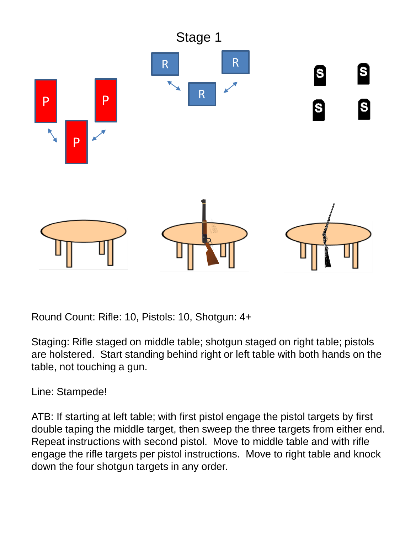

Staging: Rifle staged on middle table; shotgun staged on right table; pistols are holstered. Start standing behind right or left table with both hands on the table, not touching a gun.

Line: Stampede!

ATB: If starting at left table; with first pistol engage the pistol targets by first double taping the middle target, then sweep the three targets from either end. Repeat instructions with second pistol. Move to middle table and with rifle engage the rifle targets per pistol instructions. Move to right table and knock down the four shotgun targets in any order.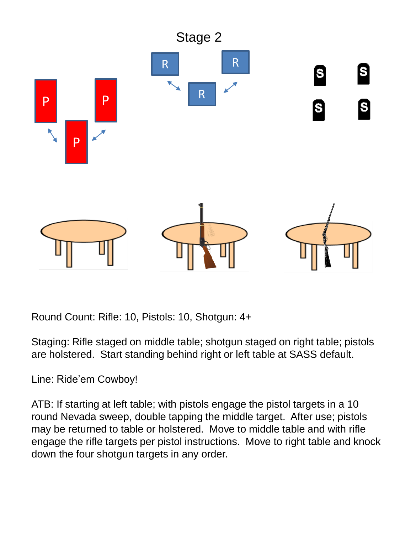

Staging: Rifle staged on middle table; shotgun staged on right table; pistols are holstered. Start standing behind right or left table at SASS default.

Line: Ride'em Cowboy!

ATB: If starting at left table; with pistols engage the pistol targets in a 10 round Nevada sweep, double tapping the middle target. After use; pistols may be returned to table or holstered. Move to middle table and with rifle engage the rifle targets per pistol instructions. Move to right table and knock down the four shotgun targets in any order.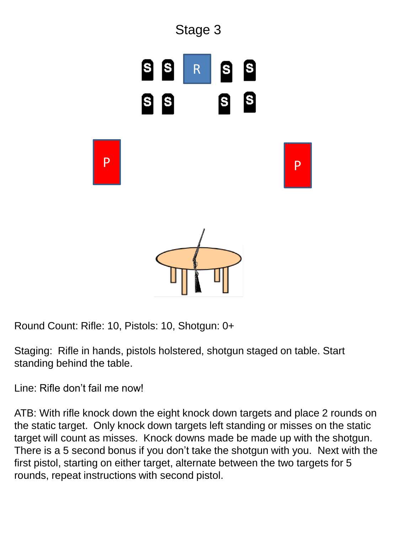

Staging: Rifle in hands, pistols holstered, shotgun staged on table. Start standing behind the table.

Line: Rifle don't fail me now!

ATB: With rifle knock down the eight knock down targets and place 2 rounds on the static target. Only knock down targets left standing or misses on the static target will count as misses. Knock downs made be made up with the shotgun. There is a 5 second bonus if you don't take the shotgun with you. Next with the first pistol, starting on either target, alternate between the two targets for 5 rounds, repeat instructions with second pistol.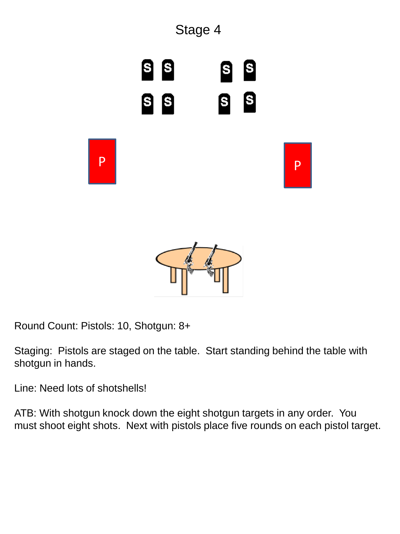

Round Count: Pistols: 10, Shotgun: 8+

Staging: Pistols are staged on the table. Start standing behind the table with shotgun in hands.

Line: Need lots of shotshells!

ATB: With shotgun knock down the eight shotgun targets in any order. You must shoot eight shots. Next with pistols place five rounds on each pistol target.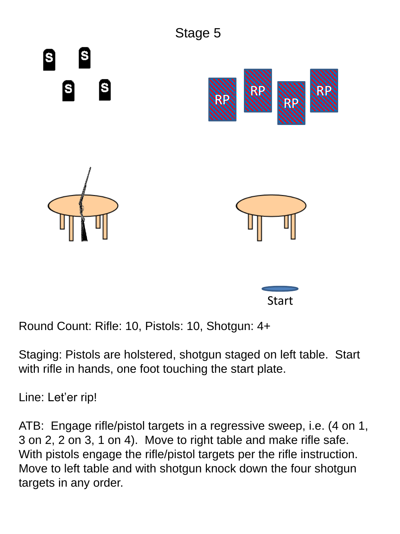

Staging: Pistols are holstered, shotgun staged on left table. Start with rifle in hands, one foot touching the start plate.

Line: Let'er rip!

ATB: Engage rifle/pistol targets in a regressive sweep, i.e. (4 on 1, 3 on 2, 2 on 3, 1 on 4). Move to right table and make rifle safe. With pistols engage the rifle/pistol targets per the rifle instruction. Move to left table and with shotgun knock down the four shotgun targets in any order.